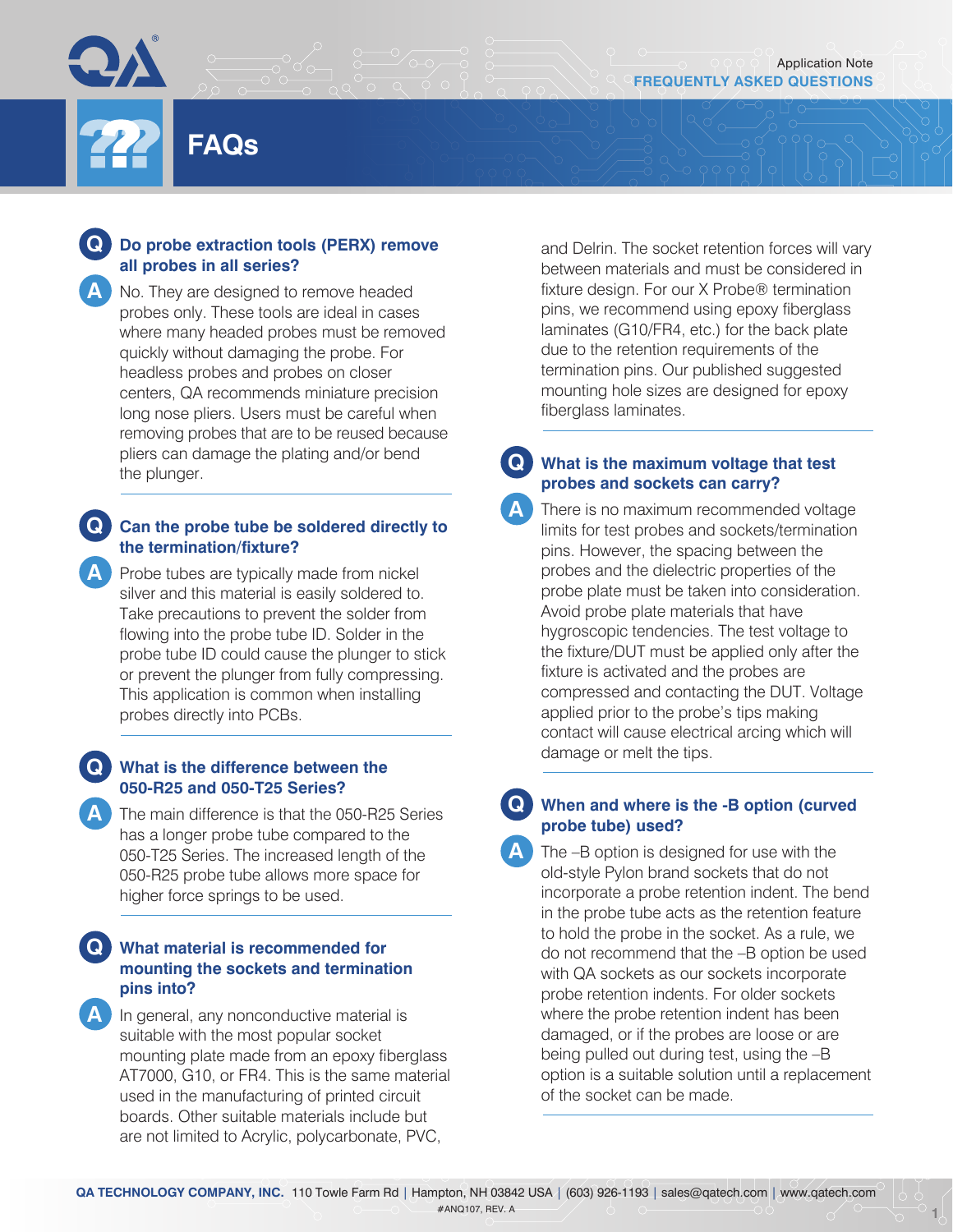## **Q Do probe extraction tools (PERX) remove all probes in all series?**

**FAQs**

**A** No. They are designed to remove headed probes only. These tools are ideal in cases where many headed probes must be removed quickly without damaging the probe. For headless probes and probes on closer centers, QA recommends miniature precision long nose pliers. Users must be careful when removing probes that are to be reused because pliers can damage the plating and/or bend the plunger.

# **Q Can the probe tube be soldered directly to the termination/fixture?**

**A** Probe tubes are typically made from nickel silver and this material is easily soldered to. Take precautions to prevent the solder from flowing into the probe tube ID. Solder in the probe tube ID could cause the plunger to stick or prevent the plunger from fully compressing. This application is common when installing probes directly into PCBs.

#### **Q What is the difference between the 050-R25 and 050-T25 Series?**

**A** The main difference is that the 050-R25 Series has a longer probe tube compared to the 050-T25 Series. The increased length of the 050-R25 probe tube allows more space for higher force springs to be used.

## **Q What material is recommended for mounting the sockets and termination pins into?**

**A** In general, any nonconductive material is suitable with the most popular socket mounting plate made from an epoxy fiberglass AT7000, G10, or FR4. This is the same material used in the manufacturing of printed circuit boards. Other suitable materials include but are not limited to Acrylic, polycarbonate, PVC,

and Delrin. The socket retention forces will vary between materials and must be considered in fixture design. For our X Probe® termination pins, we recommend using epoxy fiberglass laminates (G10/FR4, etc.) for the back plate due to the retention requirements of the termination pins. Our published suggested mounting hole sizes are designed for epoxy fiberglass laminates.

# **Q What is the maximum voltage that test probes and sockets can carry?**

**A** There is no maximum recommended voltage limits for test probes and sockets/termination pins. However, the spacing between the probes and the dielectric properties of the probe plate must be taken into consideration. Avoid probe plate materials that have hygroscopic tendencies. The test voltage to the fixture/DUT must be applied only after the fixture is activated and the probes are compressed and contacting the DUT. Voltage applied prior to the probe's tips making contact will cause electrical arcing which will damage or melt the tips.

## **Q When and where is the -B option (curved probe tube) used?**

**A** The –B option is designed for use with the old-style Pylon brand sockets that do not incorporate a probe retention indent. The bend in the probe tube acts as the retention feature to hold the probe in the socket. As a rule, we do not recommend that the –B option be used with QA sockets as our sockets incorporate probe retention indents. For older sockets where the probe retention indent has been damaged, or if the probes are loose or are being pulled out during test, using the –B option is a suitable solution until a replacement of the socket can be made.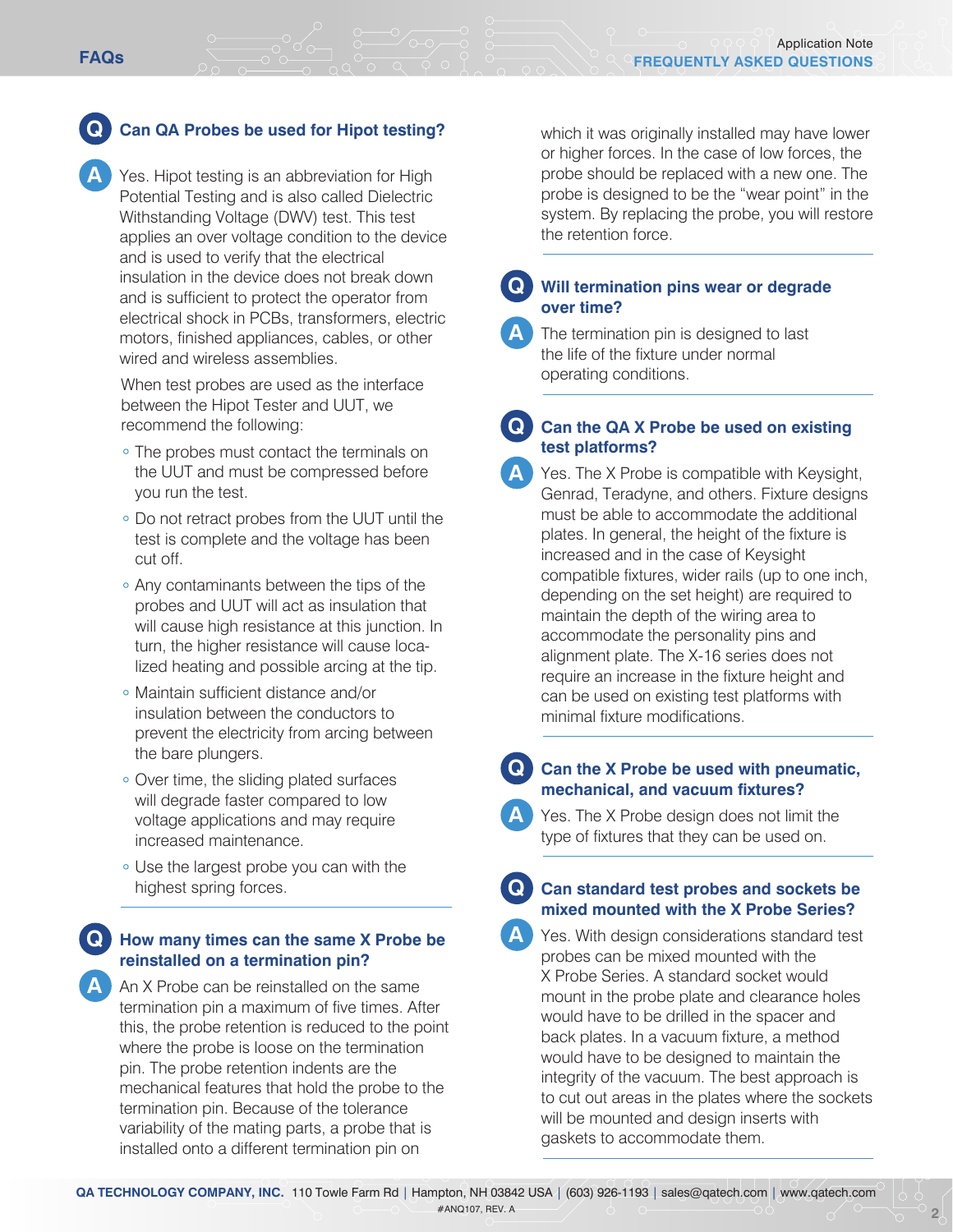## **Q Can QA Probes be used for Hipot testing?**

**A** Yes. Hipot testing is an abbreviation for High Potential Testing and is also called Dielectric Withstanding Voltage (DWV) test. This test applies an over voltage condition to the device and is used to verify that the electrical insulation in the device does not break down and is sufficient to protect the operator from electrical shock in PCBs, transformers, electric motors, finished appliances, cables, or other wired and wireless assemblies.

When test probes are used as the interface between the Hipot Tester and UUT, we recommend the following:

- The probes must contact the terminals on the UUT and must be compressed before you run the test.
- Do not retract probes from the UUT until the test is complete and the voltage has been cut off.
- Any contaminants between the tips of the probes and UUT will act as insulation that will cause high resistance at this junction. In turn, the higher resistance will cause localized heating and possible arcing at the tip.
- Maintain sufficient distance and/or insulation between the conductors to prevent the electricity from arcing between the bare plungers.
- Over time, the sliding plated surfaces will degrade faster compared to low voltage applications and may require increased maintenance.
- Use the largest probe you can with the highest spring forces.

## **Q How many times can the same X Probe be reinstalled on a termination pin?**

**A** An X Probe can be reinstalled on the same termination pin a maximum of five times. After this, the probe retention is reduced to the point where the probe is loose on the termination pin. The probe retention indents are the mechanical features that hold the probe to the termination pin. Because of the tolerance variability of the mating parts, a probe that is installed onto a different termination pin on

which it was originally installed may have lower or higher forces. In the case of low forces, the probe should be replaced with a new one. The probe is designed to be the "wear point" in the system. By replacing the probe, you will restore the retention force.

#### **Q Will termination pins wear or degrade over time?**

**A** The termination pin is designed to last the life of the fixture under normal operating conditions.

### **Q Can the QA X Probe be used on existing test platforms?**

**A** Yes. The X Probe is compatible with Keysight, Genrad, Teradyne, and others. Fixture designs must be able to accommodate the additional plates. In general, the height of the fixture is increased and in the case of Keysight compatible fixtures, wider rails (up to one inch, depending on the set height) are required to maintain the depth of the wiring area to accommodate the personality pins and alignment plate. The X-16 series does not require an increase in the fixture height and can be used on existing test platforms with minimal fixture modifications.

**Q Can the X Probe be used with pneumatic, mechanical, and vacuum fixtures?** 

**A** Yes. The X Probe design does not limit the type of fixtures that they can be used on.

### **Q Can standard test probes and sockets be mixed mounted with the X Probe Series?**

**A** Yes. With design considerations standard test probes can be mixed mounted with the X Probe Series. A standard socket would mount in the probe plate and clearance holes would have to be drilled in the spacer and back plates. In a vacuum fixture, a method would have to be designed to maintain the integrity of the vacuum. The best approach is to cut out areas in the plates where the sockets will be mounted and design inserts with gaskets to accommodate them.

**2**

**QA TECHNOLOGY COMPANY, INC.** 110 Towle Farm Rd | Hampton, NH 03842 USA | (603) 926-1193 | sales@qatech.com | www.qatech.com #ANQ107, REV. A